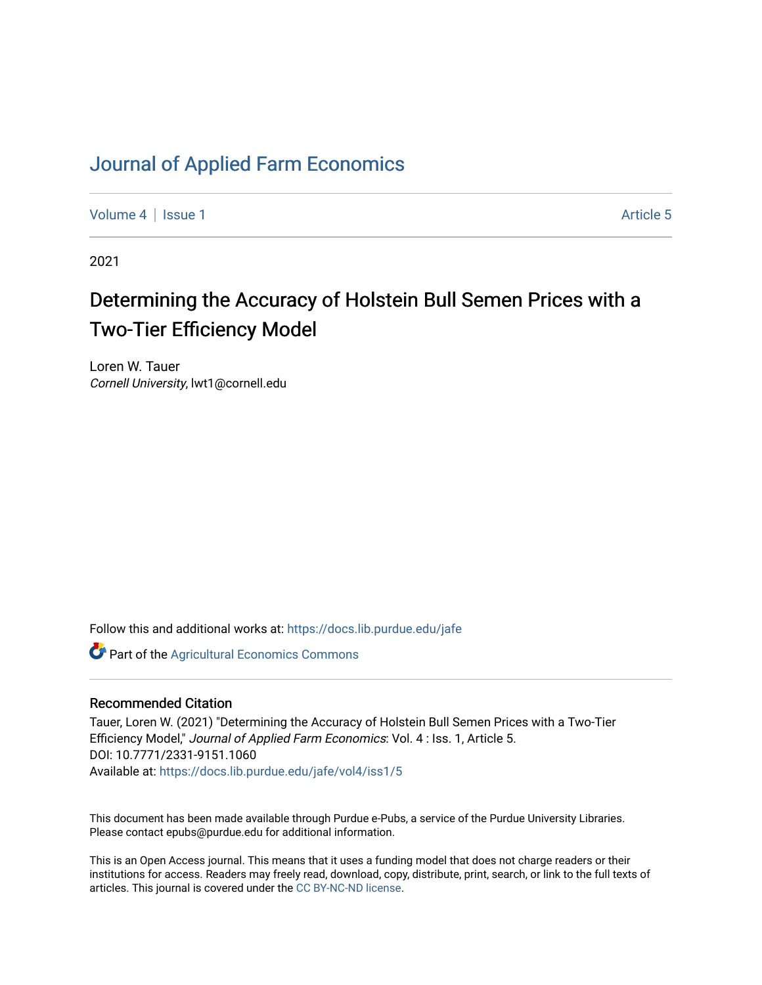# [Journal of Applied Farm Economics](https://docs.lib.purdue.edu/jafe)

[Volume 4](https://docs.lib.purdue.edu/jafe/vol4) | [Issue 1](https://docs.lib.purdue.edu/jafe/vol4/iss1) Article 5

2021

# Determining the Accuracy of Holstein Bull Semen Prices with a Two-Tier Efficiency Model

Loren W. Tauer Cornell University, lwt1@cornell.edu

Follow this and additional works at: [https://docs.lib.purdue.edu/jafe](https://docs.lib.purdue.edu/jafe?utm_source=docs.lib.purdue.edu%2Fjafe%2Fvol4%2Fiss1%2F5&utm_medium=PDF&utm_campaign=PDFCoverPages)

**Part of the Agricultural Economics Commons** 

## Recommended Citation

Tauer, Loren W. (2021) "Determining the Accuracy of Holstein Bull Semen Prices with a Two-Tier Efficiency Model," Journal of Applied Farm Economics: Vol. 4 : Iss. 1, Article 5. DOI: 10.7771/2331-9151.1060 Available at: [https://docs.lib.purdue.edu/jafe/vol4/iss1/5](https://docs.lib.purdue.edu/jafe/vol4/iss1/5?utm_source=docs.lib.purdue.edu%2Fjafe%2Fvol4%2Fiss1%2F5&utm_medium=PDF&utm_campaign=PDFCoverPages)

This document has been made available through Purdue e-Pubs, a service of the Purdue University Libraries. Please contact epubs@purdue.edu for additional information.

This is an Open Access journal. This means that it uses a funding model that does not charge readers or their institutions for access. Readers may freely read, download, copy, distribute, print, search, or link to the full texts of articles. This journal is covered under the [CC BY-NC-ND license](https://creativecommons.org/licenses/by-nc-nd/4.0/).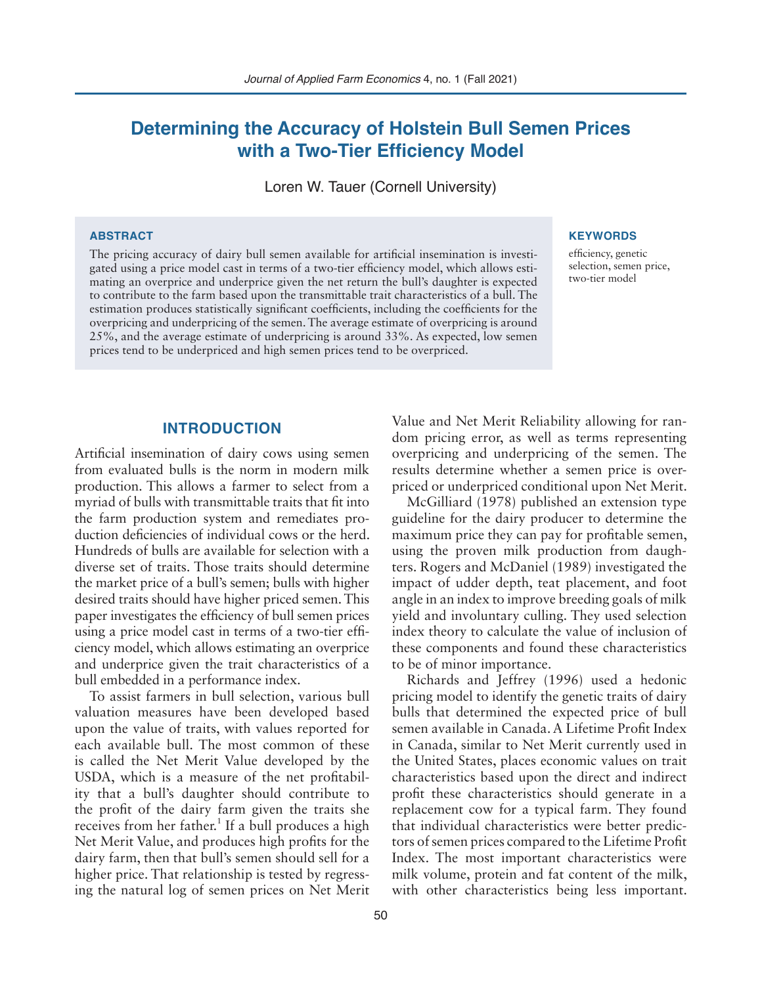# **Determining the Accuracy of Holstein Bull Semen Prices with a Two-Tier Efficiency Model**

Loren W. Tauer (Cornell University)

### **ABSTRACT**

The pricing accuracy of dairy bull semen available for artificial insemination is investigated using a price model cast in terms of a two-tier efficiency model, which allows estimating an overprice and underprice given the net return the bull's daughter is expected to contribute to the farm based upon the transmittable trait characteristics of a bull. The estimation produces statistically significant coefficients, including the coefficients for the overpricing and underpricing of the semen. The average estimate of overpricing is around 25%, and the average estimate of underpricing is around 33%. As expected, low semen prices tend to be underpriced and high semen prices tend to be overpriced.

### **KEYWORDS**

efficiency, genetic selection, semen price, two-tier model

# **INTRODUCTION**

Artificial insemination of dairy cows using semen from evaluated bulls is the norm in modern milk production. This allows a farmer to select from a myriad of bulls with transmittable traits that fit into the farm production system and remediates production deficiencies of individual cows or the herd. Hundreds of bulls are available for selection with a diverse set of traits. Those traits should determine the market price of a bull's semen; bulls with higher desired traits should have higher priced semen. This paper investigates the efficiency of bull semen prices using a price model cast in terms of a two-tier efficiency model, which allows estimating an overprice and underprice given the trait characteristics of a bull embedded in a performance index.

To assist farmers in bull selection, various bull valuation measures have been developed based upon the value of traits, with values reported for each available bull. The most common of these is called the Net Merit Value developed by the USDA, which is a measure of the net profitability that a bull's daughter should contribute to the profit of the dairy farm given the traits she receives from her father.<sup>1</sup> If a bull produces a high Net Merit Value, and produces high profits for the dairy farm, then that bull's semen should sell for a higher price. That relationship is tested by regressing the natural log of semen prices on Net Merit

50

Value and Net Merit Reliability allowing for random pricing error, as well as terms representing overpricing and underpricing of the semen. The results determine whether a semen price is overpriced or underpriced conditional upon Net Merit.

McGilliard (1978) published an extension type guideline for the dairy producer to determine the maximum price they can pay for profitable semen, using the proven milk production from daughters. Rogers and McDaniel (1989) investigated the impact of udder depth, teat placement, and foot angle in an index to improve breeding goals of milk yield and involuntary culling. They used selection index theory to calculate the value of inclusion of these components and found these characteristics to be of minor importance.

Richards and Jeffrey (1996) used a hedonic pricing model to identify the genetic traits of dairy bulls that determined the expected price of bull semen available in Canada. A Lifetime Profit Index in Canada, similar to Net Merit currently used in the United States, places economic values on trait characteristics based upon the direct and indirect profit these characteristics should generate in a replacement cow for a typical farm. They found that individual characteristics were better predictors of semen prices compared to the Lifetime Profit Index. The most important characteristics were milk volume, protein and fat content of the milk, with other characteristics being less important.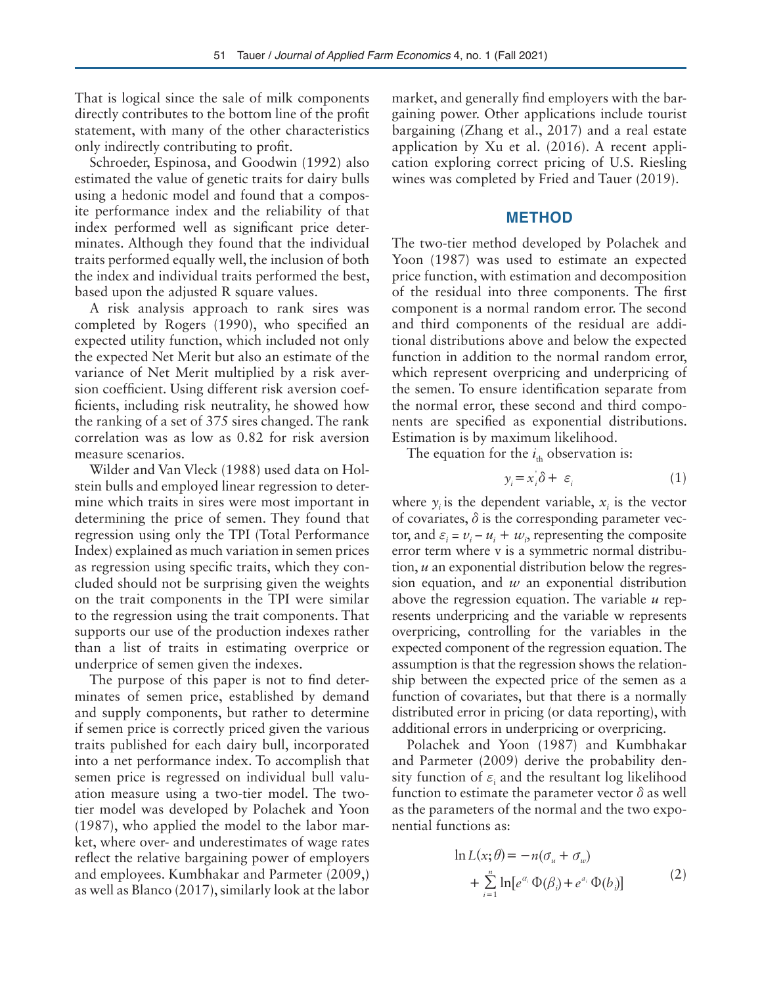That is logical since the sale of milk components directly contributes to the bottom line of the profit statement, with many of the other characteristics only indirectly contributing to profit.

Schroeder, Espinosa, and Goodwin (1992) also estimated the value of genetic traits for dairy bulls using a hedonic model and found that a composite performance index and the reliability of that index performed well as significant price determinates. Although they found that the individual traits performed equally well, the inclusion of both the index and individual traits performed the best, based upon the adjusted R square values.

A risk analysis approach to rank sires was completed by Rogers (1990), who specified an expected utility function, which included not only the expected Net Merit but also an estimate of the variance of Net Merit multiplied by a risk aversion coefficient. Using different risk aversion coefficients, including risk neutrality, he showed how the ranking of a set of 375 sires changed. The rank correlation was as low as 0.82 for risk aversion measure scenarios.

Wilder and Van Vleck (1988) used data on Holstein bulls and employed linear regression to determine which traits in sires were most important in determining the price of semen. They found that regression using only the TPI (Total Performance Index) explained as much variation in semen prices as regression using specific traits, which they concluded should not be surprising given the weights on the trait components in the TPI were similar to the regression using the trait components. That supports our use of the production indexes rather than a list of traits in estimating overprice or underprice of semen given the indexes.

The purpose of this paper is not to find determinates of semen price, established by demand and supply components, but rather to determine if semen price is correctly priced given the various traits published for each dairy bull, incorporated into a net performance index. To accomplish that semen price is regressed on individual bull valuation measure using a two-tier model. The twotier model was developed by Polachek and Yoon (1987), who applied the model to the labor market, where over- and underestimates of wage rates reflect the relative bargaining power of employers and employees. Kumbhakar and Parmeter (2009,) as well as Blanco (2017), similarly look at the labor market, and generally find employers with the bargaining power. Other applications include tourist bargaining (Zhang et al., 2017) and a real estate application by Xu et al. (2016). A recent application exploring correct pricing of U.S. Riesling wines was completed by Fried and Tauer (2019).

## **METHOD**

The two-tier method developed by Polachek and Yoon (1987) was used to estimate an expected price function, with estimation and decomposition of the residual into three components. The first component is a normal random error. The second and third components of the residual are additional distributions above and below the expected function in addition to the normal random error, which represent overpricing and underpricing of the semen. To ensure identification separate from the normal error, these second and third components are specified as exponential distributions. Estimation is by maximum likelihood.

The equation for the  $i_{th}$  observation is:

$$
y_i = x_i \delta + \varepsilon_i \tag{1}
$$

where  $y_i$  is the dependent variable,  $x_i$  is the vector of covariates,  $\delta$  is the corresponding parameter vector, and  $\varepsilon_i = v_i - u_i + w_i$ , representing the composite error term where v is a symmetric normal distribution, *u* an exponential distribution below the regression equation, and *w* an exponential distribution above the regression equation. The variable *u* represents underpricing and the variable w represents overpricing, controlling for the variables in the expected component of the regression equation. The assumption is that the regression shows the relationship between the expected price of the semen as a function of covariates, but that there is a normally distributed error in pricing (or data reporting), with additional errors in underpricing or overpricing.

Polachek and Yoon (1987) and Kumbhakar and Parmeter (2009) derive the probability density function of  $\varepsilon$ <sub>i</sub> and the resultant log likelihood function to estimate the parameter vector  $\delta$  as well as the parameters of the normal and the two exponential functions as:

$$
\ln L(x; \theta) = -n(\sigma_u + \sigma_w)
$$
  
+ 
$$
\sum_{i=1}^{n} \ln[e^{\alpha_i} \Phi(\beta_i) + e^{\alpha_i} \Phi(b_i)]
$$
 (2)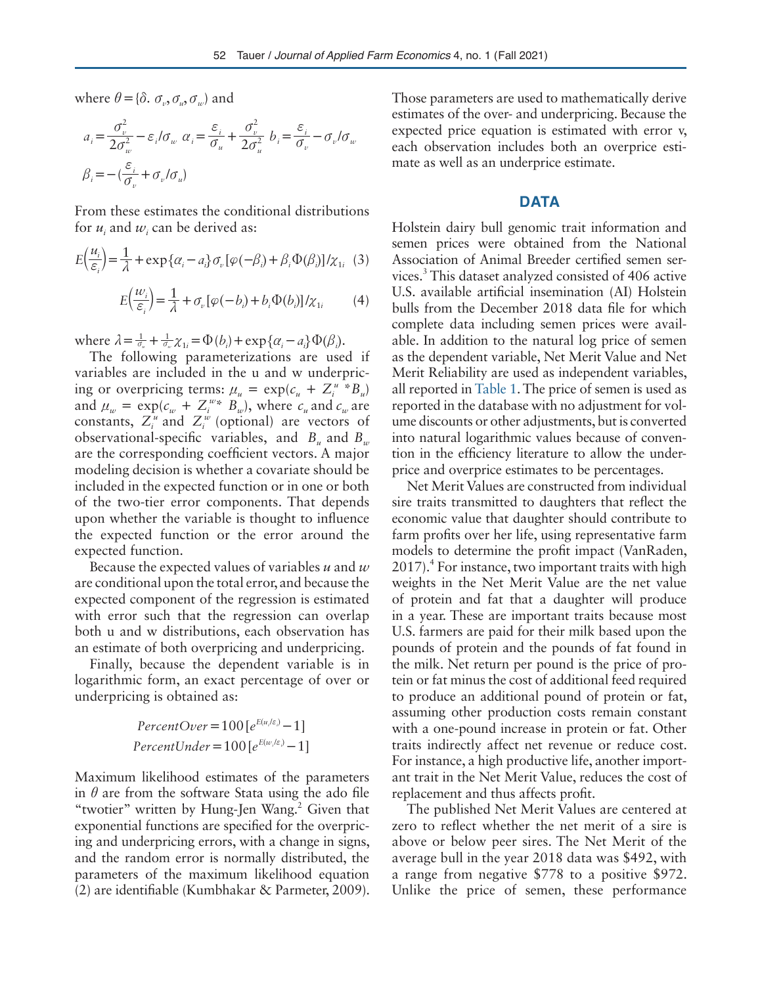where  $\theta = \{\delta, \sigma_v, \sigma_u, \sigma_w\}$  and

$$
a_i = \frac{\sigma_v^2}{2\sigma_w^2} - \varepsilon_i/\sigma_w \ \alpha_i = \frac{\varepsilon_i}{\sigma_u} + \frac{\sigma_v^2}{2\sigma_u^2} \ b_i = \frac{\varepsilon_i}{\sigma_v} - \sigma_v/\sigma_w
$$

$$
\beta_i = -(\frac{\varepsilon_i}{\sigma_v} + \sigma_v/\sigma_u)
$$

From these estimates the conditional distributions for  $u_i$  and  $w_i$  can be derived as:

$$
E\left(\frac{u_i}{\varepsilon_i}\right) = \frac{1}{\lambda} + \exp\left\{\alpha_i - a_i\right\}\sigma_v\left[\varphi(-\beta_i) + \beta_i\Phi(\beta_i)\right]/\chi_{1i} \tag{3}
$$

$$
E\left(\frac{w_i}{\varepsilon_i}\right) = \frac{1}{\lambda} + \sigma_v \left[\varphi(-b_i) + b_i \Phi(b_i)\right] / \chi_{1i} \tag{4}
$$

where  $\lambda = \frac{1}{\sigma_u} + \frac{1}{\sigma_w} \chi_{1i} = \Phi(b_i) + \exp{\{\alpha_i - a_i\}} \Phi(\beta_i).$ 

The following parameterizations are used if variables are included in the u and w underpricing or overpricing terms:  $\mu_u = \exp(c_u + Z_i^u * B_u)$ and  $\mu_w = \exp(c_w + Z_i^{w*} \ B_w)$ , where  $c_u$  and  $c_w$  are constants,  $Z_i^u$  and  $Z_i^w$  (optional) are vectors of observational-specific variables, and *B<sub>u</sub>* and *B<sub>u</sub>* are the corresponding coefficient vectors. A major modeling decision is whether a covariate should be included in the expected function or in one or both of the two-tier error components. That depends upon whether the variable is thought to influence the expected function or the error around the expected function.

Because the expected values of variables *u* and *w* are conditional upon the total error, and because the expected component of the regression is estimated with error such that the regression can overlap both u and w distributions, each observation has an estimate of both overpricing and underpricing.

Finally, because the dependent variable is in logarithmic form, an exact percentage of over or underpricing is obtained as:

$$
PercentOver = 100[e^{E(u/\varepsilon)} - 1]
$$

$$
PercentUnder = 100[e^{E(u/\varepsilon)} - 1]
$$

Maximum likelihood estimates of the parameters in  $\theta$  are from the software Stata using the ado file "twotier" written by Hung-Jen Wang.<sup>2</sup> Given that exponential functions are specified for the overpricing and underpricing errors, with a change in signs, and the random error is normally distributed, the parameters of the maximum likelihood equation (2) are identifiable (Kumbhakar & Parmeter, 2009).

Those parameters are used to mathematically derive estimates of the over- and underpricing. Because the expected price equation is estimated with error v, each observation includes both an overprice estimate as well as an underprice estimate.

# **DATA**

Holstein dairy bull genomic trait information and semen prices were obtained from the National Association of Animal Breeder certified semen services.3 This dataset analyzed consisted of 406 active U.S. available artificial insemination (AI) Holstein bulls from the December 2018 data file for which complete data including semen prices were available. In addition to the natural log price of semen as the dependent variable, Net Merit Value and Net Merit Reliability are used as independent variables, all reported in Table 1. The price of semen is used as reported in the database with no adjustment for volume discounts or other adjustments, but is converted into natural logarithmic values because of convention in the efficiency literature to allow the underprice and overprice estimates to be percentages.

Net Merit Values are constructed from individual sire traits transmitted to daughters that reflect the economic value that daughter should contribute to farm profits over her life, using representative farm models to determine the profit impact (VanRaden, 2017).<sup>4</sup> For instance, two important traits with high weights in the Net Merit Value are the net value of protein and fat that a daughter will produce in a year. These are important traits because most U.S. farmers are paid for their milk based upon the pounds of protein and the pounds of fat found in the milk. Net return per pound is the price of protein or fat minus the cost of additional feed required to produce an additional pound of protein or fat, assuming other production costs remain constant with a one-pound increase in protein or fat. Other traits indirectly affect net revenue or reduce cost. For instance, a high productive life, another important trait in the Net Merit Value, reduces the cost of replacement and thus affects profit.

The published Net Merit Values are centered at zero to reflect whether the net merit of a sire is above or below peer sires. The Net Merit of the average bull in the year 2018 data was \$492, with a range from negative \$778 to a positive \$972. Unlike the price of semen, these performance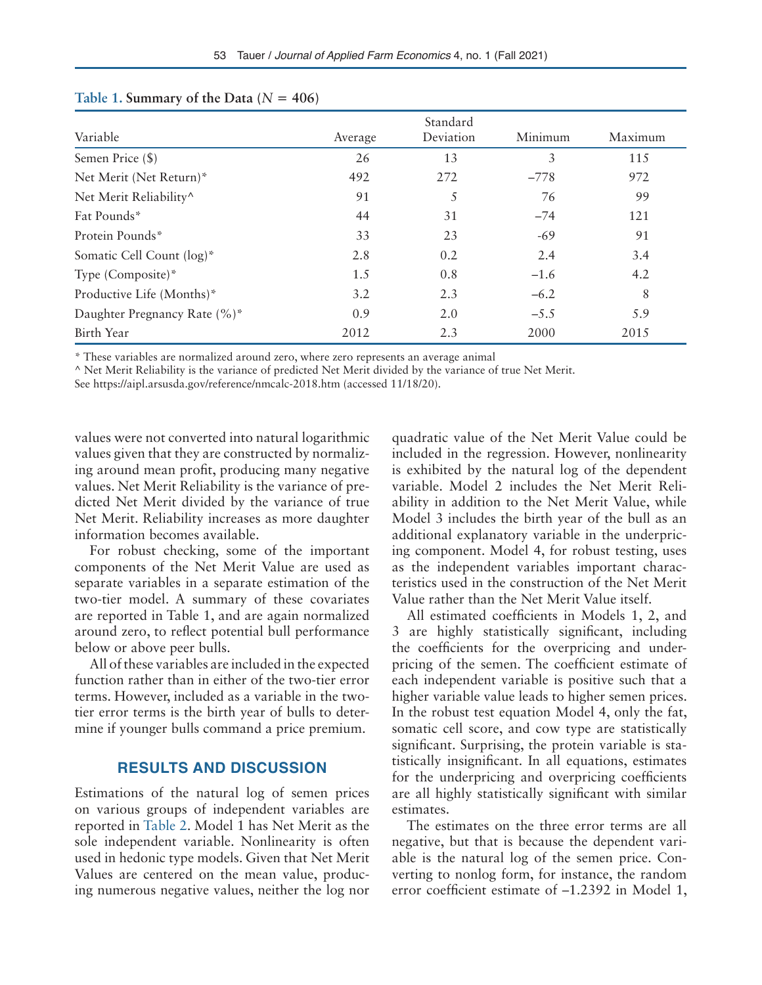|                              |         | Standard  |         |         |
|------------------------------|---------|-----------|---------|---------|
| Variable                     | Average | Deviation | Minimum | Maximum |
| Semen Price (\$)             | 26      | 13        | 3       | 115     |
| Net Merit (Net Return)*      | 492     | 272       | $-778$  | 972     |
| Net Merit Reliability^       | 91      | 5         | 76      | 99      |
| Fat Pounds*                  | 44      | 31        | $-74$   | 121     |
| Protein Pounds*              | 33      | 23        | $-69$   | 91      |
| Somatic Cell Count (log)*    | 2.8     | 0.2       | 2.4     | 3.4     |
| Type (Composite)*            | 1.5     | 0.8       | $-1.6$  | 4.2     |
| Productive Life (Months)*    | 3.2     | 2.3       | $-6.2$  | 8       |
| Daughter Pregnancy Rate (%)* | 0.9     | 2.0       | $-5.5$  | 5.9     |
| Birth Year                   | 2012    | 2.3       | 2000    | 2015    |

### Table 1. Summary of the Data  $(N = 406)$

\* These variables are normalized around zero, where zero represents an average animal

^ Net Merit Reliability is the variance of predicted Net Merit divided by the variance of true Net Merit.

See https://aipl.arsusda.gov/reference/nmcalc-2018.htm (accessed 11/18/20).

values were not converted into natural logarithmic values given that they are constructed by normalizing around mean profit, producing many negative values. Net Merit Reliability is the variance of predicted Net Merit divided by the variance of true Net Merit. Reliability increases as more daughter information becomes available.

For robust checking, some of the important components of the Net Merit Value are used as separate variables in a separate estimation of the two-tier model. A summary of these covariates are reported in Table 1, and are again normalized around zero, to reflect potential bull performance below or above peer bulls.

All of these variables are included in the expected function rather than in either of the two-tier error terms. However, included as a variable in the twotier error terms is the birth year of bulls to determine if younger bulls command a price premium.

# **RESULTS AND DISCUSSION**

Estimations of the natural log of semen prices on various groups of independent variables are reported in Table 2. Model 1 has Net Merit as the sole independent variable. Nonlinearity is often used in hedonic type models. Given that Net Merit Values are centered on the mean value, producing numerous negative values, neither the log nor

quadratic value of the Net Merit Value could be included in the regression. However, nonlinearity is exhibited by the natural log of the dependent variable. Model 2 includes the Net Merit Reliability in addition to the Net Merit Value, while Model 3 includes the birth year of the bull as an additional explanatory variable in the underpricing component. Model 4, for robust testing, uses as the independent variables important characteristics used in the construction of the Net Merit Value rather than the Net Merit Value itself.

All estimated coefficients in Models 1, 2, and 3 are highly statistically significant, including the coefficients for the overpricing and underpricing of the semen. The coefficient estimate of each independent variable is positive such that a higher variable value leads to higher semen prices. In the robust test equation Model 4, only the fat, somatic cell score, and cow type are statistically significant. Surprising, the protein variable is statistically insignificant. In all equations, estimates for the underpricing and overpricing coefficients are all highly statistically significant with similar estimates.

The estimates on the three error terms are all negative, but that is because the dependent variable is the natural log of the semen price. Converting to nonlog form, for instance, the random error coefficient estimate of –1.2392 in Model 1,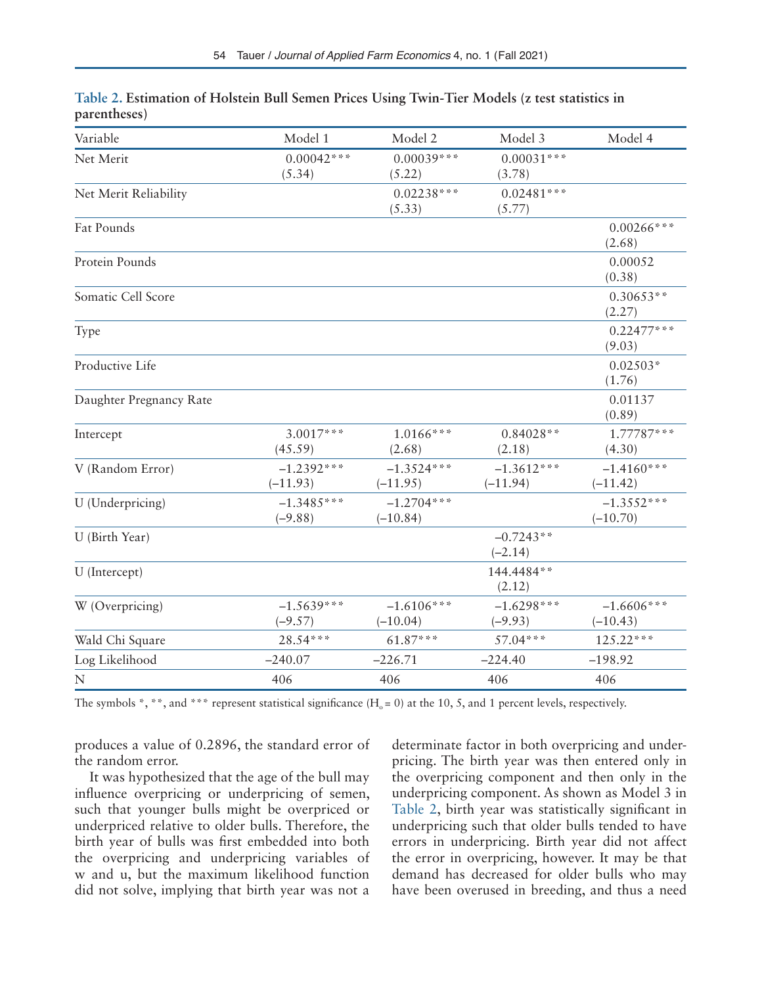| Variable                | Model 1                    | Model 2                    | Model 3                    | Model 4                    |
|-------------------------|----------------------------|----------------------------|----------------------------|----------------------------|
| Net Merit               | $0.00042***$<br>(5.34)     | $0.00039***$<br>(5.22)     | $0.00031***$<br>(3.78)     |                            |
| Net Merit Reliability   |                            | $0.02238***$<br>(5.33)     | $0.02481***$<br>(5.77)     |                            |
| Fat Pounds              |                            |                            |                            | $0.00266***$<br>(2.68)     |
| Protein Pounds          |                            |                            |                            | 0.00052<br>(0.38)          |
| Somatic Cell Score      |                            |                            |                            | $0.30653**$<br>(2.27)      |
| Type                    |                            |                            |                            | $0.22477***$<br>(9.03)     |
| Productive Life         |                            |                            |                            | $0.02503*$<br>(1.76)       |
| Daughter Pregnancy Rate |                            |                            |                            | 0.01137<br>(0.89)          |
| Intercept               | $3.0017***$<br>(45.59)     | $1.0166***$<br>(2.68)      | $0.84028**$<br>(2.18)      | 1.77787***<br>(4.30)       |
| V (Random Error)        | $-1.2392***$<br>$(-11.93)$ | $-1.3524***$<br>$(-11.95)$ | $-1.3612***$<br>$(-11.94)$ | $-1.4160***$<br>$(-11.42)$ |
| U (Underpricing)        | $-1.3485***$<br>$(-9.88)$  | $-1.2704***$<br>$(-10.84)$ |                            | $-1.3552***$<br>$(-10.70)$ |
| U (Birth Year)          |                            |                            | $-0.7243**$<br>$(-2.14)$   |                            |
| U (Intercept)           |                            |                            | 144.4484**<br>(2.12)       |                            |
| W (Overpricing)         | $-1.5639***$<br>$(-9.57)$  | $-1.6106***$<br>$(-10.04)$ | $-1.6298***$<br>$(-9.93)$  | $-1.6606***$<br>$(-10.43)$ |
| Wald Chi Square         | 28.54***                   | $61.87***$                 | $57.04***$                 | $125.22***$                |
| Log Likelihood          | $-240.07$                  | $-226.71$                  | $-224.40$                  | $-198.92$                  |
| $\mathbf N$             | 406                        | 406                        | 406                        | 406                        |

| Table 2. Estimation of Holstein Bull Semen Prices Using Twin-Tier Models (z test statistics in |  |  |  |  |
|------------------------------------------------------------------------------------------------|--|--|--|--|
| parentheses)                                                                                   |  |  |  |  |

The symbols \*, \*\*, and \*\*\* represent statistical significance ( $H_0 = 0$ ) at the 10, 5, and 1 percent levels, respectively.

produces a value of 0.2896, the standard error of the random error.

It was hypothesized that the age of the bull may influence overpricing or underpricing of semen, such that younger bulls might be overpriced or underpriced relative to older bulls. Therefore, the birth year of bulls was first embedded into both the overpricing and underpricing variables of w and u, but the maximum likelihood function did not solve, implying that birth year was not a

determinate factor in both overpricing and underpricing. The birth year was then entered only in the overpricing component and then only in the underpricing component. As shown as Model 3 in Table 2, birth year was statistically significant in underpricing such that older bulls tended to have errors in underpricing. Birth year did not affect the error in overpricing, however. It may be that demand has decreased for older bulls who may have been overused in breeding, and thus a need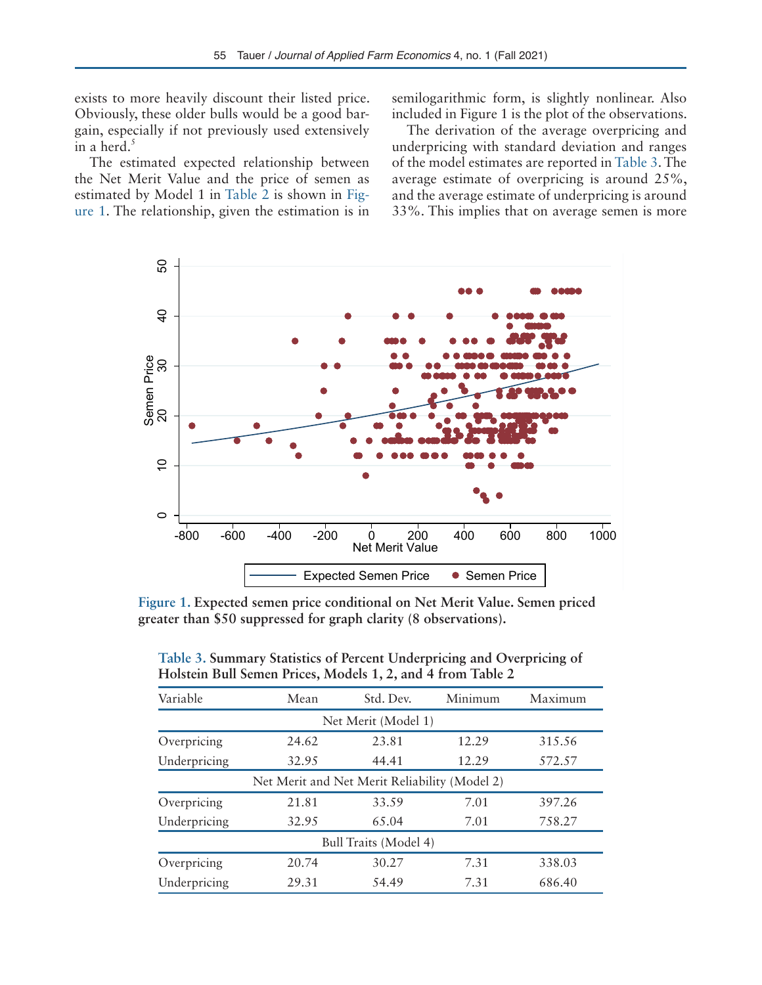exists to more heavily discount their listed price. Obviously, these older bulls would be a good bargain, especially if not previously used extensively in a herd. $5$ 

The estimated expected relationship between the Net Merit Value and the price of semen as estimated by Model 1 in Table 2 is shown in Figure 1. The relationship, given the estimation is in semilogarithmic form, is slightly nonlinear. Also included in Figure 1 is the plot of the observations.

The derivation of the average overpricing and underpricing with standard deviation and ranges of the model estimates are reported in Table 3. The average estimate of overpricing is around 25%, and the average estimate of underpricing is around 33%. This implies that on average semen is more



**Figure 1. Expected semen price conditional on Net Merit Value. Semen priced greater than \$50 suppressed for graph clarity (8 observations).**

| Table 3. Summary Statistics of Percent Underpricing and Overpricing of |  |  |  |  |
|------------------------------------------------------------------------|--|--|--|--|
| Holstein Bull Semen Prices, Models 1, 2, and 4 from Table 2            |  |  |  |  |

| Variable                                      | Mean  | Std. Dev. | Minimum | Maximum |  |  |  |  |  |
|-----------------------------------------------|-------|-----------|---------|---------|--|--|--|--|--|
| Net Merit (Model 1)                           |       |           |         |         |  |  |  |  |  |
| Overpricing                                   | 24.62 | 23.81     | 12.29   | 315.56  |  |  |  |  |  |
| Underpricing                                  | 32.95 | 44.41     | 12.29   | 572.57  |  |  |  |  |  |
| Net Merit and Net Merit Reliability (Model 2) |       |           |         |         |  |  |  |  |  |
| Overpricing                                   | 21.81 | 33.59     | 7.01    | 397.26  |  |  |  |  |  |
| Underpricing                                  | 32.95 | 65.04     | 7.01    | 758.27  |  |  |  |  |  |
| Bull Traits (Model 4)                         |       |           |         |         |  |  |  |  |  |
| Overpricing                                   | 20.74 | 30.27     | 7.31    | 338.03  |  |  |  |  |  |
| Underpricing                                  | 29.31 | 54.49     | 7.31    | 686.40  |  |  |  |  |  |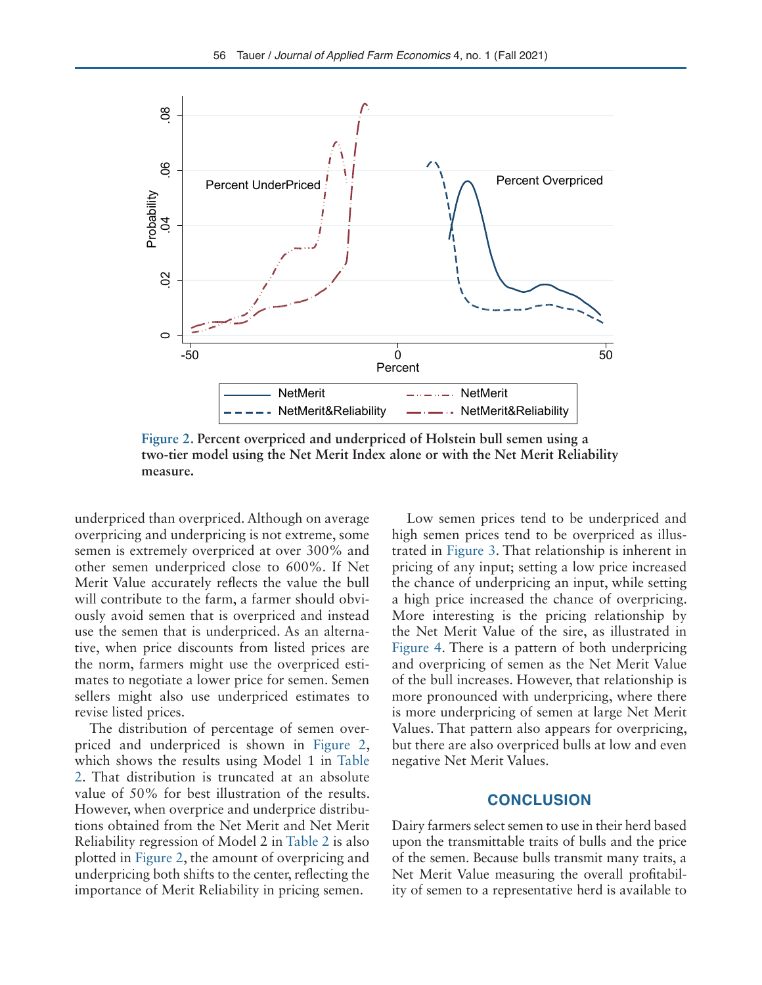

**Figure 2. Percent overpriced and underpriced of Holstein bull semen using a two-tier model using the Net Merit Index alone or with the Net Merit Reliability measure.**

underpriced than overpriced. Although on average overpricing and underpricing is not extreme, some semen is extremely overpriced at over 300% and other semen underpriced close to 600%. If Net Merit Value accurately reflects the value the bull will contribute to the farm, a farmer should obviously avoid semen that is overpriced and instead use the semen that is underpriced. As an alternative, when price discounts from listed prices are the norm, farmers might use the overpriced estimates to negotiate a lower price for semen. Semen sellers might also use underpriced estimates to revise listed prices.

The distribution of percentage of semen overpriced and underpriced is shown in Figure 2, which shows the results using Model 1 in Table 2. That distribution is truncated at an absolute value of 50% for best illustration of the results. However, when overprice and underprice distributions obtained from the Net Merit and Net Merit Reliability regression of Model 2 in Table 2 is also plotted in Figure 2, the amount of overpricing and underpricing both shifts to the center, reflecting the importance of Merit Reliability in pricing semen.

Low semen prices tend to be underpriced and high semen prices tend to be overpriced as illustrated in Figure 3. That relationship is inherent in pricing of any input; setting a low price increased the chance of underpricing an input, while setting a high price increased the chance of overpricing. More interesting is the pricing relationship by the Net Merit Value of the sire, as illustrated in Figure 4. There is a pattern of both underpricing and overpricing of semen as the Net Merit Value of the bull increases. However, that relationship is more pronounced with underpricing, where there is more underpricing of semen at large Net Merit Values. That pattern also appears for overpricing, but there are also overpriced bulls at low and even negative Net Merit Values.

# **CONCLUSION**

Dairy farmers select semen to use in their herd based upon the transmittable traits of bulls and the price of the semen. Because bulls transmit many traits, a Net Merit Value measuring the overall profitability of semen to a representative herd is available to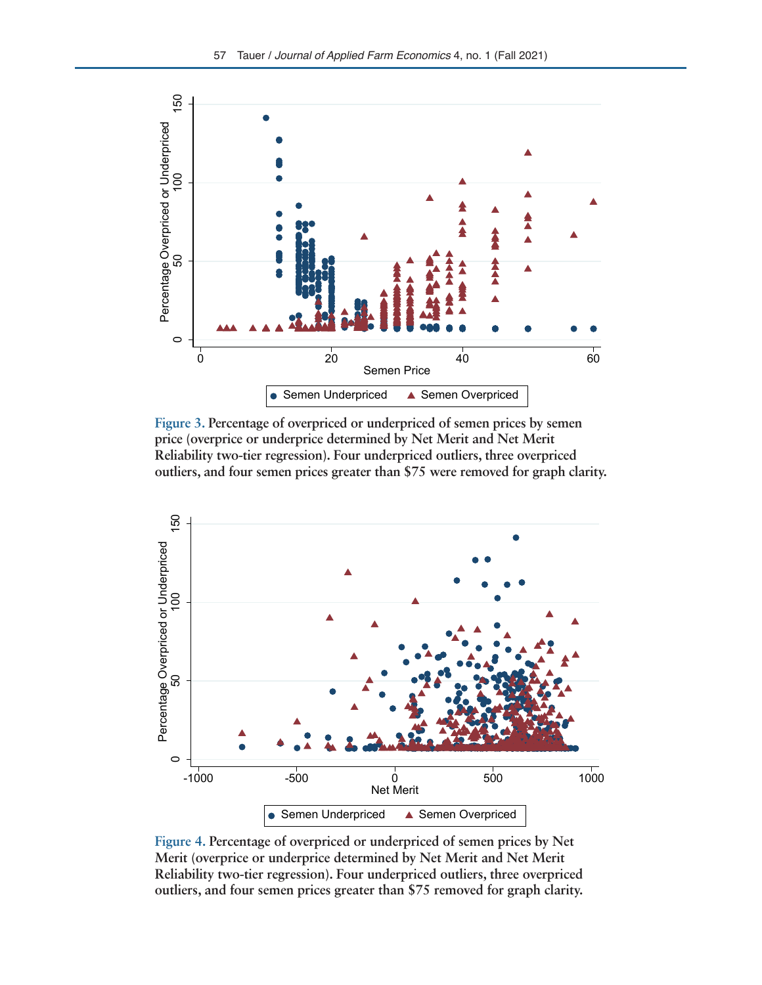

**Figure 3. Percentage of overpriced or underpriced of semen prices by semen price (overprice or underprice determined by Net Merit and Net Merit Reliability two-tier regression). Four underpriced outliers, three overpriced outliers, and four semen prices greater than \$75 were removed for graph clarity.**



**Figure 4. Percentage of overpriced or underpriced of semen prices by Net Merit (overprice or underprice determined by Net Merit and Net Merit Reliability two-tier regression). Four underpriced outliers, three overpriced outliers, and four semen prices greater than \$75 removed for graph clarity.**